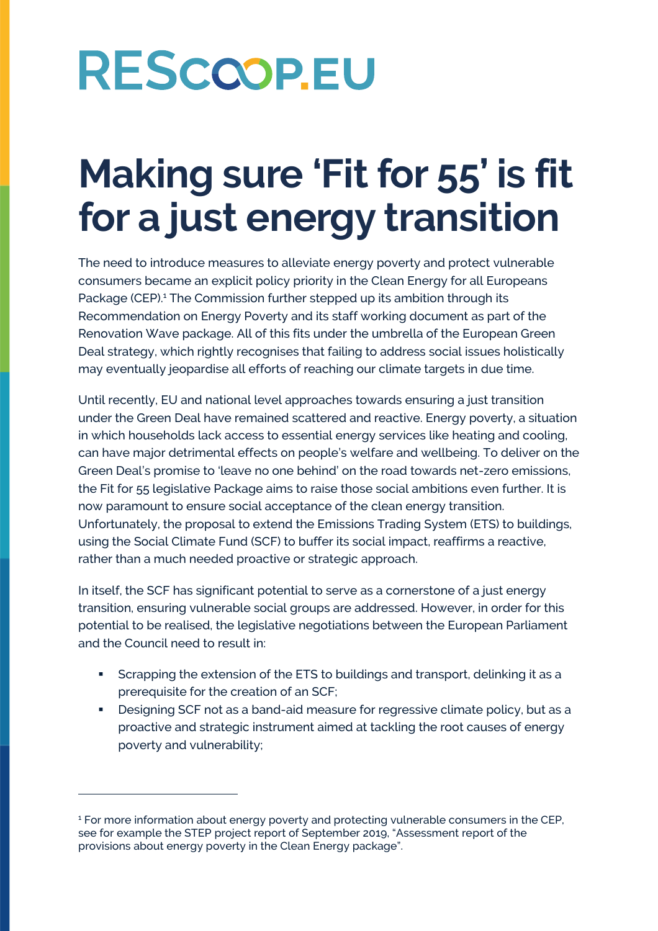## **Making sure 'Fit for 55' is fit for a just energy transition**

The need to introduce measures to alleviate energy poverty and protect vulnerable consumers became an explicit policy priority in the Clean Energy for all Europeans Package (CEP).<sup>1</sup> The Commission further stepped up its ambition through its Recommendation on Energy Poverty and its staff working document as part of the Renovation Wave package. All of this fits under the umbrella of the European Green Deal strategy, which rightly recognises that failing to address social issues holistically may eventually jeopardise all efforts of reaching our climate targets in due time.

Until recently, EU and national level approaches towards ensuring a just transition under the Green Deal have remained scattered and reactive. Energy poverty, a situation in which households lack access to essential energy services like heating and cooling, can have major detrimental effects on people's welfare and wellbeing. To deliver on the Green Deal's promise to 'leave no one behind' on the road towards net-zero emissions, the Fit for 55 legislative Package aims to raise those social ambitions even further. It is now paramount to ensure social acceptance of the clean energy transition. Unfortunately, the proposal to extend the Emissions Trading System (ETS) to buildings, using the Social Climate Fund (SCF) to buffer its social impact, reaffirms a reactive, rather than a much needed proactive or strategic approach.

In itself, the SCF has significant potential to serve as a cornerstone of a just energy transition, ensuring vulnerable social groups are addressed. However, in order for this potential to be realised, the legislative negotiations between the European Parliament and the Council need to result in:

- Scrapping the extension of the ETS to buildings and transport, delinking it as a prerequisite for the creation of an SCF;
- Designing SCF not as a band-aid measure for regressive climate policy, but as a proactive and strategic instrument aimed at tackling the root causes of energy poverty and vulnerability;

<sup>&</sup>lt;sup>1</sup> For more information about energy poverty and protecting vulnerable consumers in the CEP, see for example the STEP project report of September 2019, "Assessment report of the provisions about energy poverty in the Clean Energy package".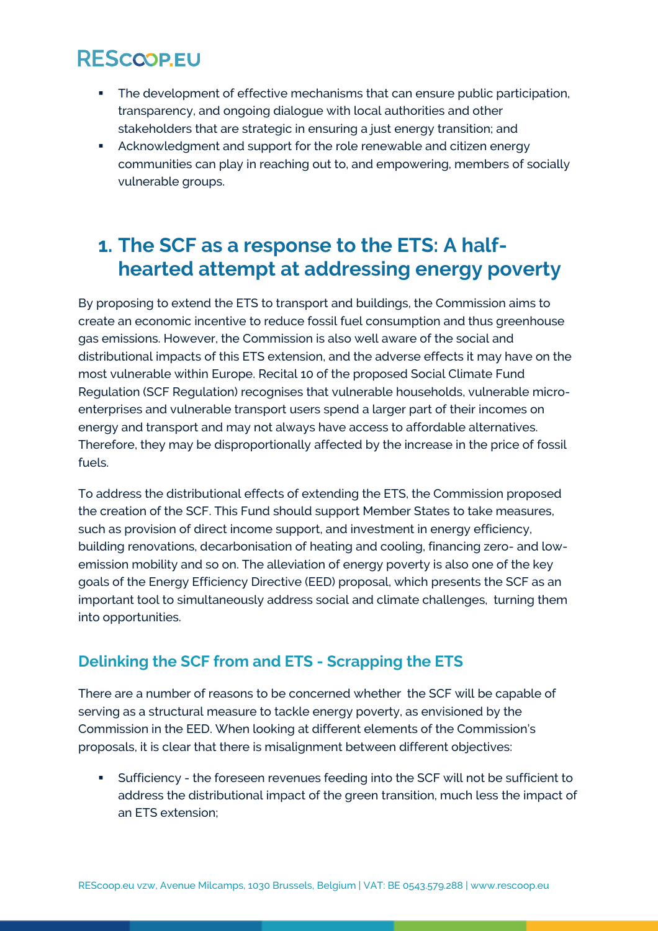- **•** The development of effective mechanisms that can ensure public participation, transparency, and ongoing dialogue with local authorities and other stakeholders that are strategic in ensuring a just energy transition; and
- Acknowledgment and support for the role renewable and citizen energy communities can play in reaching out to, and empowering, members of socially vulnerable groups.

## **1. The SCF as a response to the ETS: A halfhearted attempt at addressing energy poverty**

By proposing to extend the ETS to transport and buildings, the Commission aims to create an economic incentive to reduce fossil fuel consumption and thus greenhouse gas emissions. However, the Commission is also well aware of the social and distributional impacts of this ETS extension, and the adverse effects it may have on the most vulnerable within Europe. Recital 10 of the proposed Social Climate Fund Regulation (SCF Regulation) recognises that vulnerable households, vulnerable microenterprises and vulnerable transport users spend a larger part of their incomes on energy and transport and may not always have access to affordable alternatives. Therefore, they may be disproportionally affected by the increase in the price of fossil fuels.

To address the distributional effects of extending the ETS, the Commission proposed the creation of the SCF. This Fund should support Member States to take measures, such as provision of direct income support, and investment in energy efficiency, building renovations, decarbonisation of heating and cooling, financing zero- and lowemission mobility and so on. The alleviation of energy poverty is also one of the key goals of the Energy Efficiency Directive (EED) proposal, which presents the SCF as an important tool to simultaneously address social and climate challenges, turning them into opportunities.

#### **Delinking the SCF from and ETS - Scrapping the ETS**

There are a number of reasons to be concerned whether the SCF will be capable of serving as a structural measure to tackle energy poverty, as envisioned by the Commission in the EED. When looking at different elements of the Commission's proposals, it is clear that there is misalignment between different objectives:

▪ Sufficiency - the foreseen revenues feeding into the SCF will not be sufficient to address the distributional impact of the green transition, much less the impact of an ETS extension;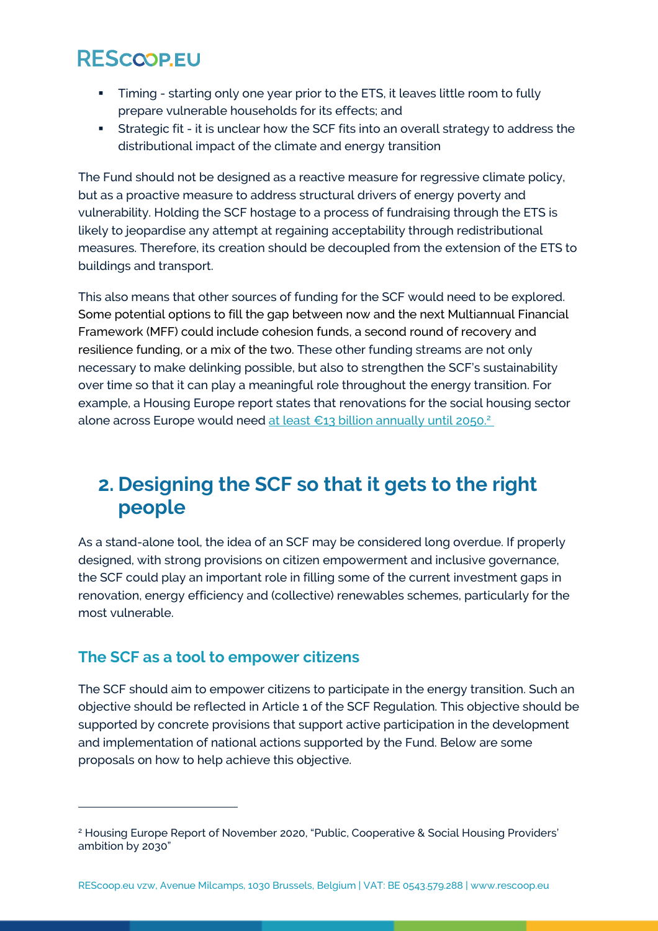- Timing starting only one year prior to the ETS, it leaves little room to fully prepare vulnerable households for its effects; and
- **EXECT** Strategic fit it is unclear how the SCF fits into an overall strategy to address the distributional impact of the climate and energy transition

The Fund should not be designed as a reactive measure for regressive climate policy, but as a proactive measure to address structural drivers of energy poverty and vulnerability. Holding the SCF hostage to a process of fundraising through the ETS is likely to jeopardise any attempt at regaining acceptability through redistributional measures. Therefore, its creation should be decoupled from the extension of the ETS to buildings and transport.

This also means that other sources of funding for the SCF would need to be explored. Some potential options to fill the gap between now and the next Multiannual Financial Framework (MFF) could include cohesion funds, a second round of recovery and resilience funding, or a mix of the two. These other funding streams are not only necessary to make delinking possible, but also to strengthen the SCF's sustainability over time so that it can play a meaningful role throughout the energy transition. For example, a Housing Europe report states that renovations for the social housing sector alone across Europe would need [at least €13 billion annually until 2050.](https://www.housingeurope.eu/resource-1471/housing-europe-s-ambition-to-renovate-4-million-affordable-homes-by-2030)<sup>2</sup>

## **2. Designing the SCF so that it gets to the right people**

As a stand-alone tool, the idea of an SCF may be considered long overdue. If properly designed, with strong provisions on citizen empowerment and inclusive governance, the SCF could play an important role in filling some of the current investment gaps in renovation, energy efficiency and (collective) renewables schemes, particularly for the most vulnerable.

#### **The SCF as a tool to empower citizens**

The SCF should aim to empower citizens to participate in the energy transition. Such an objective should be reflected in Article 1 of the SCF Regulation. This objective should be supported by concrete provisions that support active participation in the development and implementation of national actions supported by the Fund. Below are some proposals on how to help achieve this objective.

<sup>&</sup>lt;sup>2</sup> Housing Europe Report of November 2020, "Public, Cooperative & Social Housing Providers' ambition by 2030"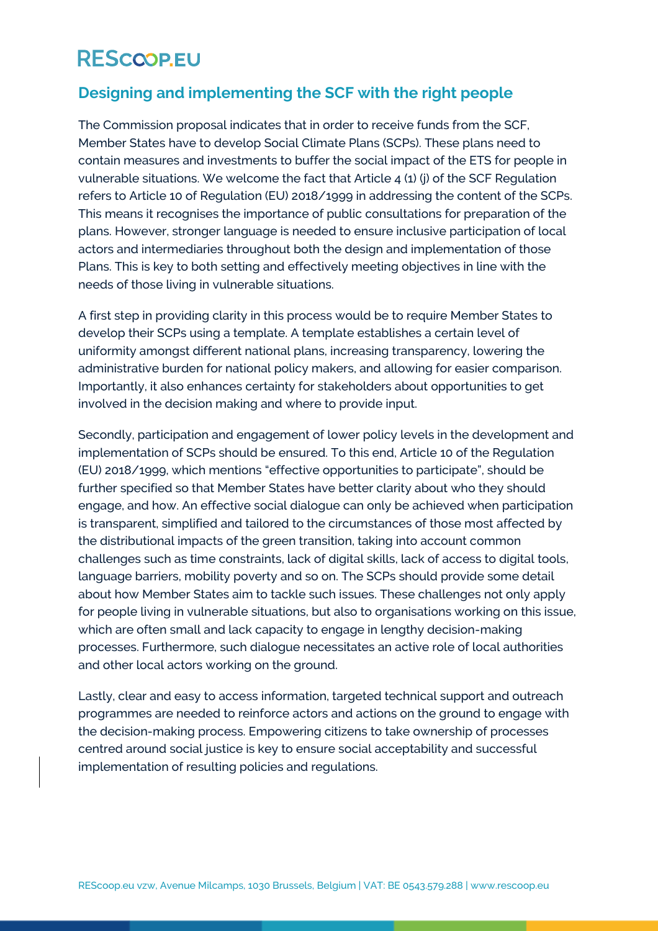#### **Designing and implementing the SCF with the right people**

The Commission proposal indicates that in order to receive funds from the SCF, Member States have to develop Social Climate Plans (SCPs). These plans need to contain measures and investments to buffer the social impact of the ETS for people in vulnerable situations. We welcome the fact that Article 4 (1) (j) of the SCF Regulation refers to Article 10 of Regulation (EU) 2018/1999 in addressing the content of the SCPs. This means it recognises the importance of public consultations for preparation of the plans. However, stronger language is needed to ensure inclusive participation of local actors and intermediaries throughout both the design and implementation of those Plans. This is key to both setting and effectively meeting objectives in line with the needs of those living in vulnerable situations.

A first step in providing clarity in this process would be to require Member States to develop their SCPs using a template. A template establishes a certain level of uniformity amongst different national plans, increasing transparency, lowering the administrative burden for national policy makers, and allowing for easier comparison. Importantly, it also enhances certainty for stakeholders about opportunities to get involved in the decision making and where to provide input.

Secondly, participation and engagement of lower policy levels in the development and implementation of SCPs should be ensured. To this end, Article 10 of the Regulation (EU) 2018/1999, which mentions "effective opportunities to participate", should be further specified so that Member States have better clarity about who they should engage, and how. An effective social dialogue can only be achieved when participation is transparent, simplified and tailored to the circumstances of those most affected by the distributional impacts of the green transition, taking into account common challenges such as time constraints, lack of digital skills, lack of access to digital tools, language barriers, mobility poverty and so on. The SCPs should provide some detail about how Member States aim to tackle such issues. These challenges not only apply for people living in vulnerable situations, but also to organisations working on this issue, which are often small and lack capacity to engage in lengthy decision-making processes. Furthermore, such dialogue necessitates an active role of local authorities and other local actors working on the ground.

Lastly, clear and easy to access information, targeted technical support and outreach programmes are needed to reinforce actors and actions on the ground to engage with the decision-making process. Empowering citizens to take ownership of processes centred around social justice is key to ensure social acceptability and successful implementation of resulting policies and regulations.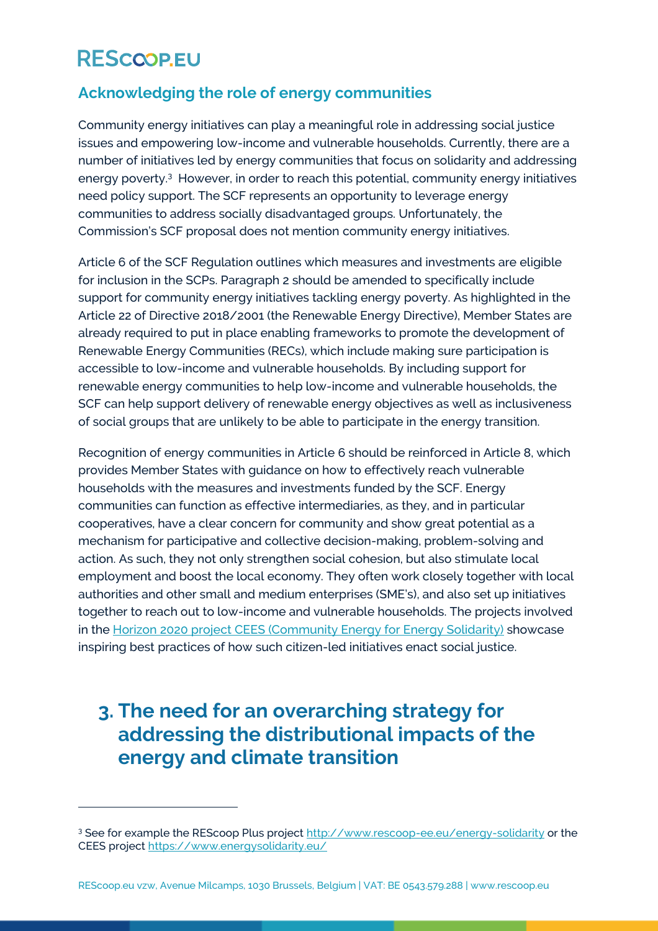#### **Acknowledging the role of energy communities**

Community energy initiatives can play a meaningful role in addressing social justice issues and empowering low-income and vulnerable households. Currently, there are a number of initiatives led by energy communities that focus on solidarity and addressing energy poverty.<sup>3</sup> However, in order to reach this potential, community energy initiatives need policy support. The SCF represents an opportunity to leverage energy communities to address socially disadvantaged groups. Unfortunately, the Commission's SCF proposal does not mention community energy initiatives.

Article 6 of the SCF Regulation outlines which measures and investments are eligible for inclusion in the SCPs. Paragraph 2 should be amended to specifically include support for community energy initiatives tackling energy poverty. As highlighted in the Article 22 of Directive 2018/2001 (the Renewable Energy Directive), Member States are already required to put in place enabling frameworks to promote the development of Renewable Energy Communities (RECs), which include making sure participation is accessible to low-income and vulnerable households. By including support for renewable energy communities to help low-income and vulnerable households, the SCF can help support delivery of renewable energy objectives as well as inclusiveness of social groups that are unlikely to be able to participate in the energy transition.

Recognition of energy communities in Article 6 should be reinforced in Article 8, which provides Member States with guidance on how to effectively reach vulnerable households with the measures and investments funded by the SCF. Energy communities can function as effective intermediaries, as they, and in particular cooperatives, have a clear concern for community and show great potential as a mechanism for participative and collective decision-making, problem-solving and action. As such, they not only strengthen social cohesion, but also stimulate local employment and boost the local economy. They often work closely together with local authorities and other small and medium enterprises (SME's), and also set up initiatives together to reach out to low-income and vulnerable households. The projects involved in the [Horizon 2020 project CEES \(Community Energy for Energy Solidarity\)](https://www.energysolidarity.eu/partners/) showcase inspiring best practices of how such citizen-led initiatives enact social justice.

## **3. The need for an overarching strategy for addressing the distributional impacts of the energy and climate transition**

<sup>&</sup>lt;sup>3</sup> See for example the REScoop Plus project<http://www.rescoop-ee.eu/energy-solidarity> or the CEES project<https://www.energysolidarity.eu/>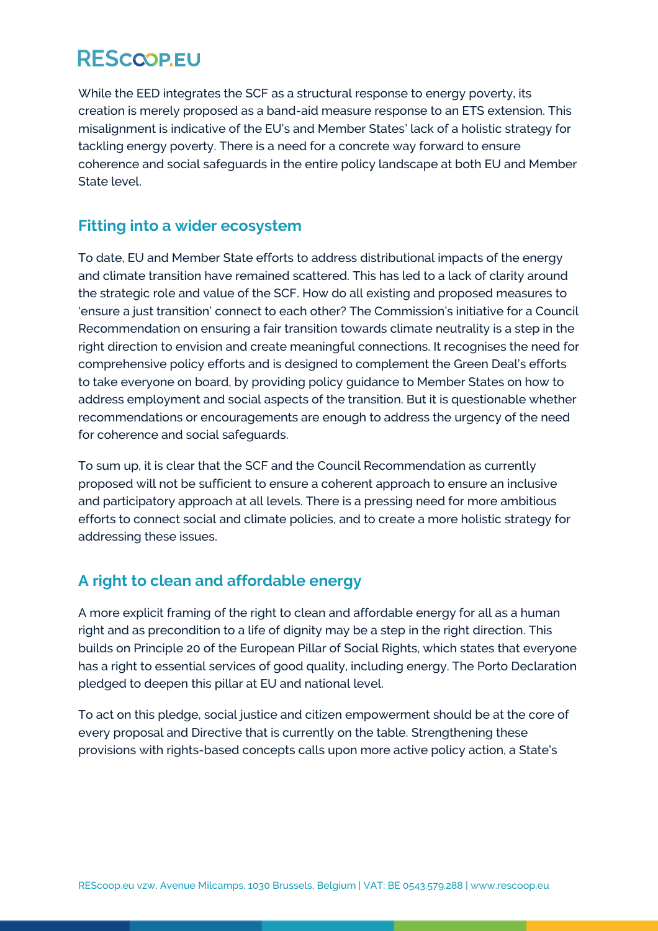While the EED integrates the SCF as a structural response to energy poverty, its creation is merely proposed as a band-aid measure response to an ETS extension. This misalignment is indicative of the EU's and Member States' lack of a holistic strategy for tackling energy poverty. There is a need for a concrete way forward to ensure coherence and social safeguards in the entire policy landscape at both EU and Member State level.

#### **Fitting into a wider ecosystem**

To date, EU and Member State efforts to address distributional impacts of the energy and climate transition have remained scattered. This has led to a lack of clarity around the strategic role and value of the SCF. How do all existing and proposed measures to 'ensure a just transition' connect to each other? The Commission's initiative for a Council Recommendation on ensuring a fair transition towards climate neutrality is a step in the right direction to envision and create meaningful connections. It recognises the need for comprehensive policy efforts and is designed to complement the Green Deal's efforts to take everyone on board, by providing policy guidance to Member States on how to address employment and social aspects of the transition. But it is questionable whether recommendations or encouragements are enough to address the urgency of the need for coherence and social safeguards.

To sum up, it is clear that the SCF and the Council Recommendation as currently proposed will not be sufficient to ensure a coherent approach to ensure an inclusive and participatory approach at all levels. There is a pressing need for more ambitious efforts to connect social and climate policies, and to create a more holistic strategy for addressing these issues.

#### **A right to clean and affordable energy**

A more explicit framing of the right to clean and affordable energy for all as a human right and as precondition to a life of dignity may be a step in the right direction. This builds on Principle 20 of the European Pillar of Social Rights, which states that everyone has a right to essential services of good quality, including energy. The Porto Declaration pledged to deepen this pillar at EU and national level.

To act on this pledge, social justice and citizen empowerment should be at the core of every proposal and Directive that is currently on the table. Strengthening these provisions with rights-based concepts calls upon more active policy action, a State's